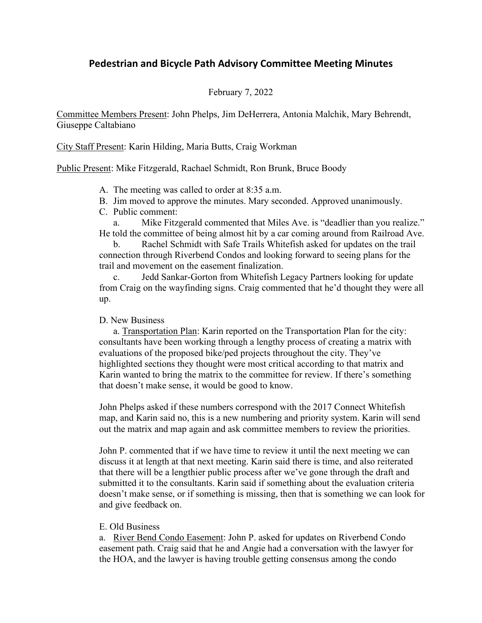## **Pedestrian and Bicycle Path Advisory Committee Meeting Minutes**

## February 7, 2022

Committee Members Present: John Phelps, Jim DeHerrera, Antonia Malchik, Mary Behrendt, Giuseppe Caltabiano

City Staff Present: Karin Hilding, Maria Butts, Craig Workman

Public Present: Mike Fitzgerald, Rachael Schmidt, Ron Brunk, Bruce Boody

- A. The meeting was called to order at 8:35 a.m.
- B. Jim moved to approve the minutes. Mary seconded. Approved unanimously.
- C. Public comment:

a. Mike Fitzgerald commented that Miles Ave. is "deadlier than you realize." He told the committee of being almost hit by a car coming around from Railroad Ave.

b. Rachel Schmidt with Safe Trails Whitefish asked for updates on the trail connection through Riverbend Condos and looking forward to seeing plans for the trail and movement on the easement finalization.

c. Jedd Sankar-Gorton from Whitefish Legacy Partners looking for update from Craig on the wayfinding signs. Craig commented that he'd thought they were all up.

## D. New Business

a. Transportation Plan: Karin reported on the Transportation Plan for the city: consultants have been working through a lengthy process of creating a matrix with evaluations of the proposed bike/ped projects throughout the city. They've highlighted sections they thought were most critical according to that matrix and Karin wanted to bring the matrix to the committee for review. If there's something that doesn't make sense, it would be good to know.

John Phelps asked if these numbers correspond with the 2017 Connect Whitefish map, and Karin said no, this is a new numbering and priority system. Karin will send out the matrix and map again and ask committee members to review the priorities.

John P. commented that if we have time to review it until the next meeting we can discuss it at length at that next meeting. Karin said there is time, and also reiterated that there will be a lengthier public process after we've gone through the draft and submitted it to the consultants. Karin said if something about the evaluation criteria doesn't make sense, or if something is missing, then that is something we can look for and give feedback on.

## E. Old Business

a. River Bend Condo Easement: John P. asked for updates on Riverbend Condo easement path. Craig said that he and Angie had a conversation with the lawyer for the HOA, and the lawyer is having trouble getting consensus among the condo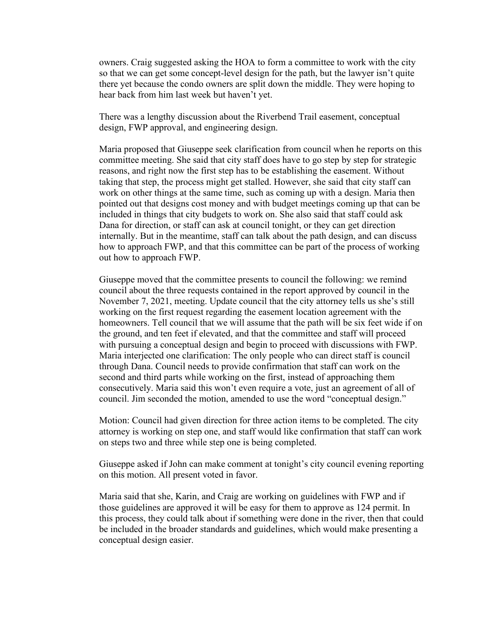owners. Craig suggested asking the HOA to form a committee to work with the city so that we can get some concept-level design for the path, but the lawyer isn't quite there yet because the condo owners are split down the middle. They were hoping to hear back from him last week but haven't yet.

There was a lengthy discussion about the Riverbend Trail easement, conceptual design, FWP approval, and engineering design.

Maria proposed that Giuseppe seek clarification from council when he reports on this committee meeting. She said that city staff does have to go step by step for strategic reasons, and right now the first step has to be establishing the easement. Without taking that step, the process might get stalled. However, she said that city staff can work on other things at the same time, such as coming up with a design. Maria then pointed out that designs cost money and with budget meetings coming up that can be included in things that city budgets to work on. She also said that staff could ask Dana for direction, or staff can ask at council tonight, or they can get direction internally. But in the meantime, staff can talk about the path design, and can discuss how to approach FWP, and that this committee can be part of the process of working out how to approach FWP.

Giuseppe moved that the committee presents to council the following: we remind council about the three requests contained in the report approved by council in the November 7, 2021, meeting. Update council that the city attorney tells us she's still working on the first request regarding the easement location agreement with the homeowners. Tell council that we will assume that the path will be six feet wide if on the ground, and ten feet if elevated, and that the committee and staff will proceed with pursuing a conceptual design and begin to proceed with discussions with FWP. Maria interjected one clarification: The only people who can direct staff is council through Dana. Council needs to provide confirmation that staff can work on the second and third parts while working on the first, instead of approaching them consecutively. Maria said this won't even require a vote, just an agreement of all of council. Jim seconded the motion, amended to use the word "conceptual design."

Motion: Council had given direction for three action items to be completed. The city attorney is working on step one, and staff would like confirmation that staff can work on steps two and three while step one is being completed.

Giuseppe asked if John can make comment at tonight's city council evening reporting on this motion. All present voted in favor.

Maria said that she, Karin, and Craig are working on guidelines with FWP and if those guidelines are approved it will be easy for them to approve as 124 permit. In this process, they could talk about if something were done in the river, then that could be included in the broader standards and guidelines, which would make presenting a conceptual design easier.